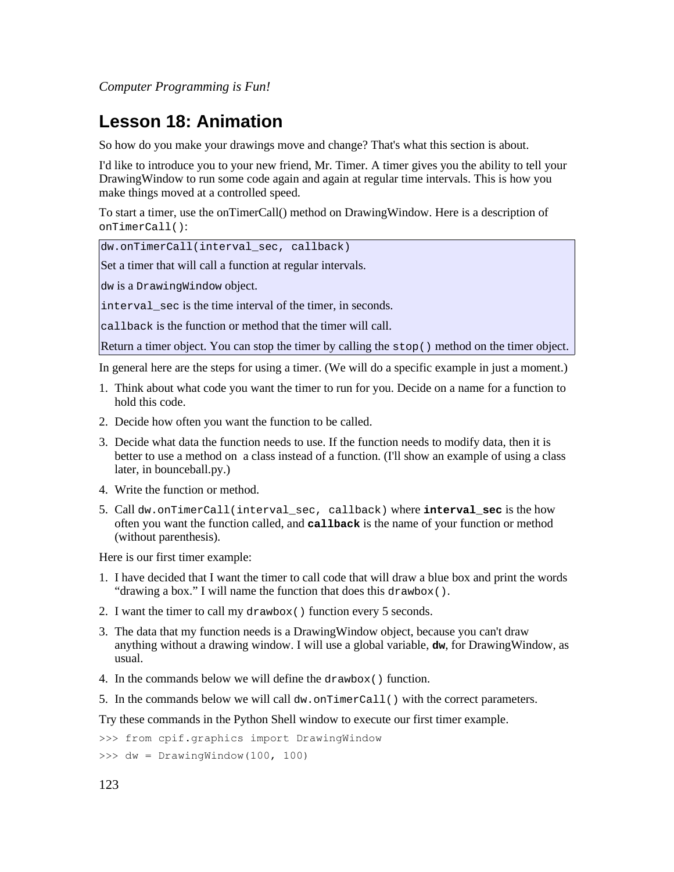# **Lesson 18: Animation**

So how do you make your drawings move and change? That's what this section is about.

I'd like to introduce you to your new friend, Mr. Timer. A timer gives you the ability to tell your DrawingWindow to run some code again and again at regular time intervals. This is how you make things moved at a controlled speed.

To start a timer, use the onTimerCall() method on DrawingWindow. Here is a description of onTimerCall():

dw.onTimerCall(interval\_sec, callback)

Set a timer that will call a function at regular intervals.

dw is a DrawingWindow object.

interval sec is the time interval of the timer, in seconds.

callback is the function or method that the timer will call.

Return a timer object. You can stop the timer by calling the stop() method on the timer object.

In general here are the steps for using a timer. (We will do a specific example in just a moment.)

- 1. Think about what code you want the timer to run for you. Decide on a name for a function to hold this code.
- 2. Decide how often you want the function to be called.
- 3. Decide what data the function needs to use. If the function needs to modify data, then it is better to use a method on a class instead of a function. (I'll show an example of using a class later, in bounceball.py.)
- 4. Write the function or method.
- 5. Call dw.onTimerCall(interval\_sec, callback) where **interval\_sec** is the how often you want the function called, and **callback** is the name of your function or method (without parenthesis).

Here is our first timer example:

- 1. I have decided that I want the timer to call code that will draw a blue box and print the words "drawing a box." I will name the function that does this drawbox().
- 2. I want the timer to call my drawbox() function every 5 seconds.
- 3. The data that my function needs is a DrawingWindow object, because you can't draw anything without a drawing window. I will use a global variable, **dw**, for DrawingWindow, as usual.
- 4. In the commands below we will define the drawbox() function.
- 5. In the commands below we will call  $dw$ , on  $TimerCall()$  with the correct parameters.

Try these commands in the Python Shell window to execute our first timer example.

>>> from cpif.graphics import DrawingWindow

>>> dw = DrawingWindow(100, 100)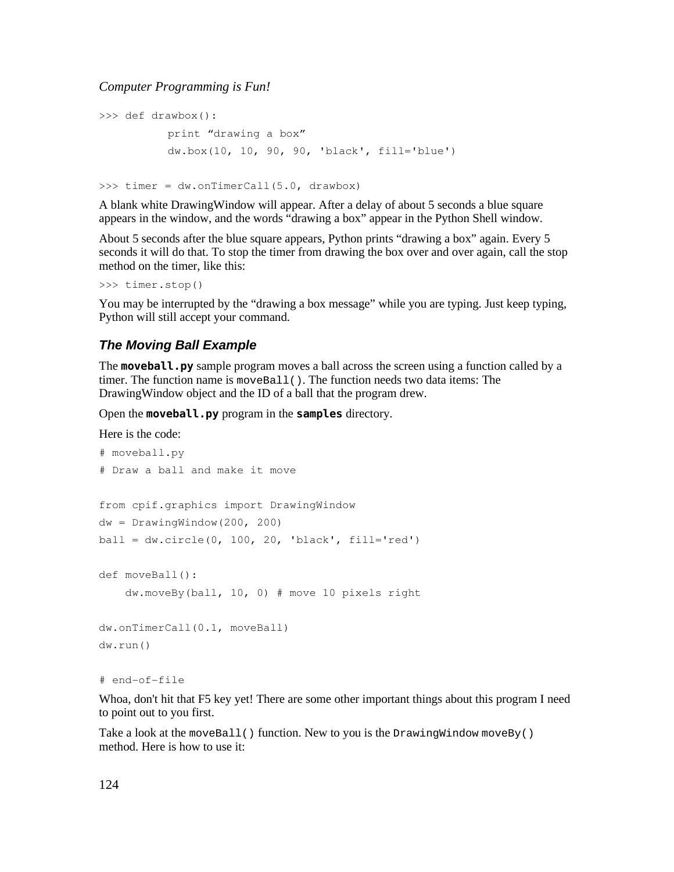```
>>> def drawbox():
          print "drawing a box"
          dw.box(10, 10, 90, 90, 'black', fill='blue')
```
>>> timer = dw.onTimerCall(5.0, drawbox)

A blank white DrawingWindow will appear. After a delay of about 5 seconds a blue square appears in the window, and the words "drawing a box" appear in the Python Shell window.

About 5 seconds after the blue square appears, Python prints "drawing a box" again. Every 5 seconds it will do that. To stop the timer from drawing the box over and over again, call the stop method on the timer, like this:

```
>>> timer.stop()
```
You may be interrupted by the "drawing a box message" while you are typing. Just keep typing, Python will still accept your command.

### **The Moving Ball Example**

The **moveball.py** sample program moves a ball across the screen using a function called by a timer. The function name is  $moveBall()$ . The function needs two data items: The DrawingWindow object and the ID of a ball that the program drew.

Open the **moveball.py** program in the **samples** directory.

Here is the code:

```
# moveball.py
# Draw a ball and make it move
from cpif.graphics import DrawingWindow
dw = DrawingWindow(200, 200)ball = dw.circle(0, 100, 20, 'black', fill='red')def moveBall():
       dw.moveBy(ball, 10, 0) # move 10 pixels right
dw.onTimerCall(0.1, moveBall)
dw.run()
```

```
# end-of-file
```
Whoa, don't hit that F5 key yet! There are some other important things about this program I need to point out to you first.

Take a look at the moveBall() function. New to you is the DrawingWindow moveBy() method. Here is how to use it: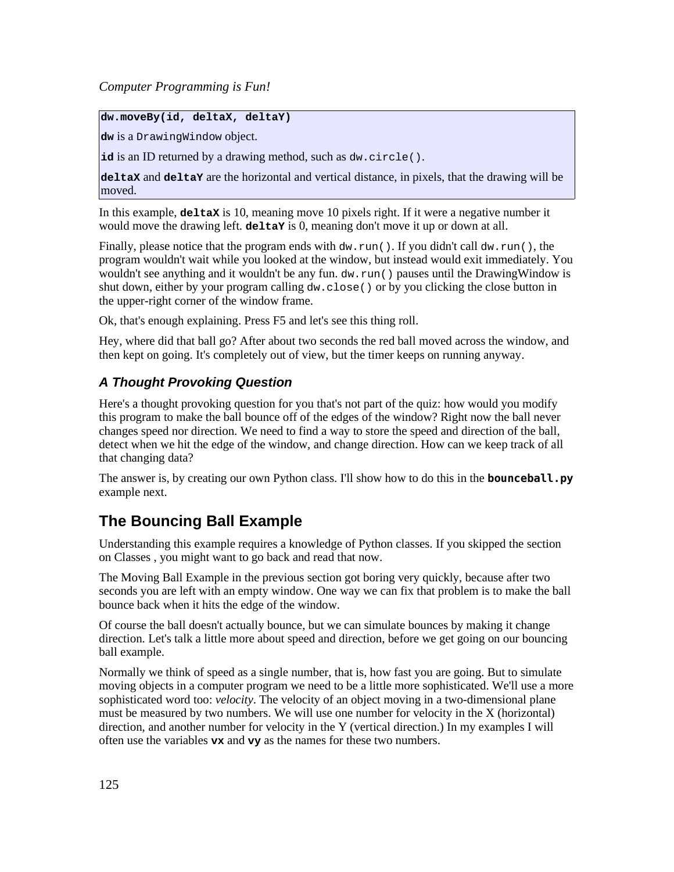### **dw.moveBy(id, deltaX, deltaY)**

**dw** is a DrawingWindow object.

**id** is an ID returned by a drawing method, such as dw.circle().

**deltaX** and **deltaY** are the horizontal and vertical distance, in pixels, that the drawing will be moved.

In this example, **deltaX** is 10, meaning move 10 pixels right. If it were a negative number it would move the drawing left. **deltaY** is 0, meaning don't move it up or down at all.

Finally, please notice that the program ends with  $dw$ , run(). If you didn't call  $dw$ , run(), the program wouldn't wait while you looked at the window, but instead would exit immediately. You wouldn't see anything and it wouldn't be any fun. dw. run() pauses until the DrawingWindow is shut down, either by your program calling  $dw$ .close() or by you clicking the close button in the upper-right corner of the window frame.

Ok, that's enough explaining. Press F5 and let's see this thing roll.

Hey, where did that ball go? After about two seconds the red ball moved across the window, and then kept on going. It's completely out of view, but the timer keeps on running anyway.

# **A Thought Provoking Question**

Here's a thought provoking question for you that's not part of the quiz: how would you modify this program to make the ball bounce off of the edges of the window? Right now the ball never changes speed nor direction. We need to find a way to store the speed and direction of the ball, detect when we hit the edge of the window, and change direction. How can we keep track of all that changing data?

The answer is, by creating our own Python class. I'll show how to do this in the **bounceball.py** example next.

# **The Bouncing Ball Example**

Understanding this example requires a knowledge of Python classes. If you skipped the section on Classes , you might want to go back and read that now.

The Moving Ball Example in the previous section got boring very quickly, because after two seconds you are left with an empty window. One way we can fix that problem is to make the ball bounce back when it hits the edge of the window.

Of course the ball doesn't actually bounce, but we can simulate bounces by making it change direction. Let's talk a little more about speed and direction, before we get going on our bouncing ball example.

Normally we think of speed as a single number, that is, how fast you are going. But to simulate moving objects in a computer program we need to be a little more sophisticated. We'll use a more sophisticated word too: *velocity*. The velocity of an object moving in a two-dimensional plane must be measured by two numbers. We will use one number for velocity in the X (horizontal) direction, and another number for velocity in the Y (vertical direction.) In my examples I will often use the variables **vx** and **vy** as the names for these two numbers.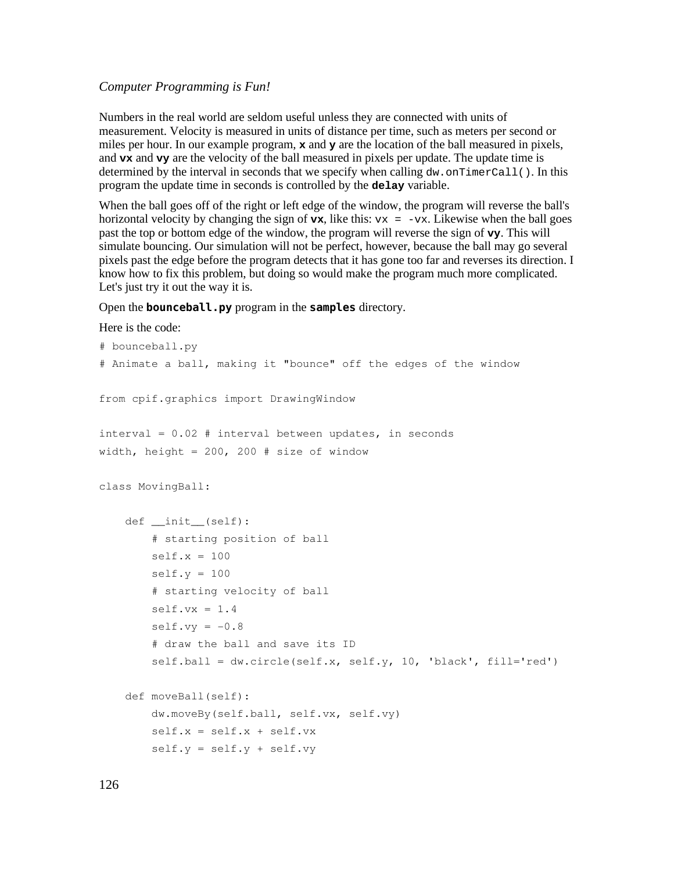Numbers in the real world are seldom useful unless they are connected with units of measurement. Velocity is measured in units of distance per time, such as meters per second or miles per hour. In our example program, **x** and **y** are the location of the ball measured in pixels, and **vx** and **vy** are the velocity of the ball measured in pixels per update. The update time is determined by the interval in seconds that we specify when calling  $dw$ , on TimerCall(). In this program the update time in seconds is controlled by the **delay** variable.

When the ball goes off of the right or left edge of the window, the program will reverse the ball's horizontal velocity by changing the sign of  $v_x$ , like this:  $v_x = -vx$ . Likewise when the ball goes past the top or bottom edge of the window, the program will reverse the sign of **vy**. This will simulate bouncing. Our simulation will not be perfect, however, because the ball may go several pixels past the edge before the program detects that it has gone too far and reverses its direction. I know how to fix this problem, but doing so would make the program much more complicated. Let's just try it out the way it is.

#### Open the **bounceball.py** program in the **samples** directory.

#### Here is the code:

```
# bounceball.py
# Animate a ball, making it "bounce" off the edges of the window
from cpif.graphics import DrawingWindow
interval = 0.02 # interval between updates, in seconds
width, height = 200, 200 # size of window
class MovingBall:
       def __init__(self):
               # starting position of ball
        self.x = 100self.y = 100       # starting velocity of ball
        self.vx = 1.4self.vy = -0.8       # draw the ball and save its ID
        self.ball = dw.circle(self.x, self.y, 10, 'black', fill='red')
       def moveBall(self):
               dw.moveBy(self.ball, self.vx, self.vy)
        self.x = self.x + self.vxself.y = self.y + self.vy
```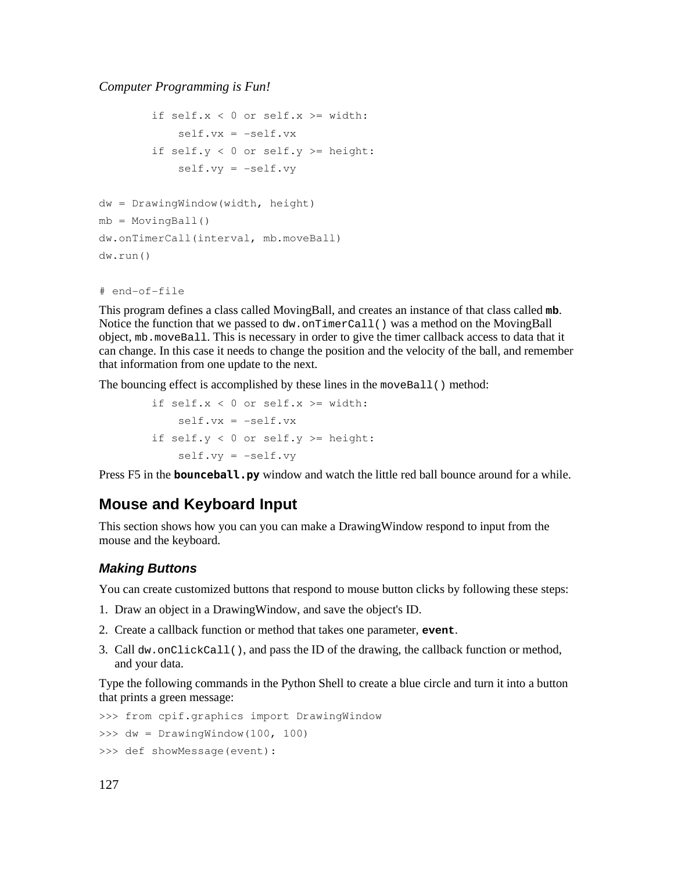```
if self.x < 0 or self.x \geq w width:
            self.vx = -self.vxif self.y < 0 or self.y >= height:
            self.vy = -self.vydw = DrawingWindow(width, height)
mb = MovingBall()dw.onTimerCall(interval, mb.moveBall)
dw.run()
```

```
# end-of-file
```
This program defines a class called MovingBall, and creates an instance of that class called **mb**. Notice the function that we passed to dw. on TimerCall() was a method on the MovingBall object, mb.moveBall. This is necessary in order to give the timer callback access to data that it can change. In this case it needs to change the position and the velocity of the ball, and remember that information from one update to the next.

The bouncing effect is accomplished by these lines in the moveBall() method:

```
if self.x < 0 or self.x > = width:
    self.vx = -self.vxif self.y < 0 or self.y > = height:
    self.vy = -self.vy
```
Press F5 in the **bounceball.py** window and watch the little red ball bounce around for a while.

# **Mouse and Keyboard Input**

This section shows how you can you can make a DrawingWindow respond to input from the mouse and the keyboard.

### **Making Buttons**

You can create customized buttons that respond to mouse button clicks by following these steps:

- 1. Draw an object in a DrawingWindow, and save the object's ID.
- 2. Create a callback function or method that takes one parameter, **event**.
- 3. Call dw.onClickCall(), and pass the ID of the drawing, the callback function or method, and your data.

Type the following commands in the Python Shell to create a blue circle and turn it into a button that prints a green message:

```
>>> from cpif.graphics import DrawingWindow
>>> dw = DrawingWindow(100, 100)
>>> def showMessage(event):
```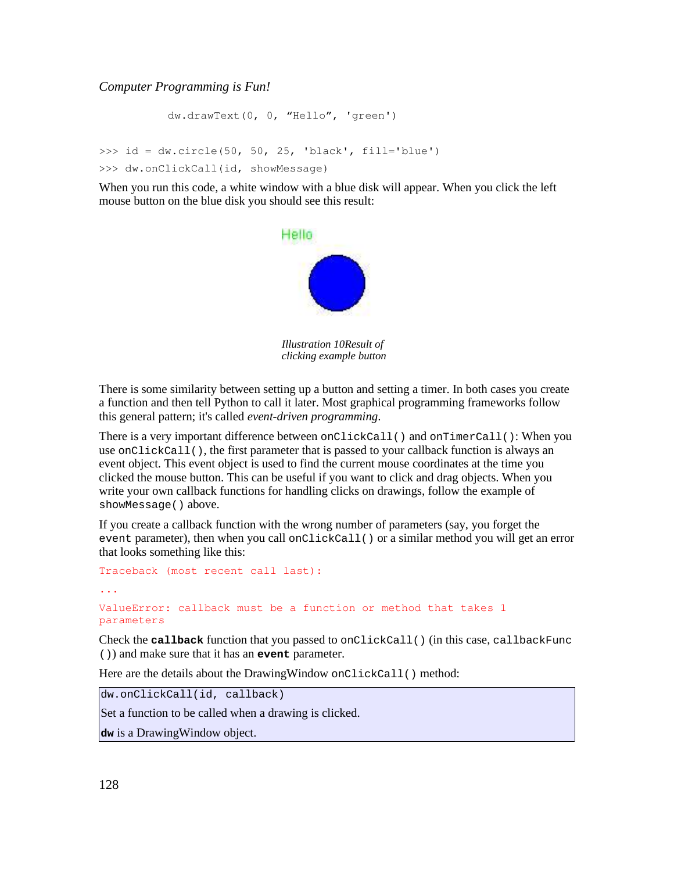dw.drawText(0, 0, "Hello", 'green') >>> id = dw.circle(50, 50, 25, 'black', fill='blue') >>> dw.onClickCall(id, showMessage)

When you run this code, a white window with a blue disk will appear. When you click the left mouse button on the blue disk you should see this result:



*Illustration 10Result of clicking example button*

There is some similarity between setting up a button and setting a timer. In both cases you create a function and then tell Python to call it later. Most graphical programming frameworks follow this general pattern; it's called *event-driven programming*.

There is a very important difference between  $\text{onClickCall}()$  and  $\text{onTimerCall}()$ : When you use onClickCall(), the first parameter that is passed to your callback function is always an event object. This event object is used to find the current mouse coordinates at the time you clicked the mouse button. This can be useful if you want to click and drag objects. When you write your own callback functions for handling clicks on drawings, follow the example of showMessage() above.

If you create a callback function with the wrong number of parameters (say, you forget the event parameter), then when you call onClickCall() or a similar method you will get an error that looks something like this:

```
Traceback (most recent call last):
...
ValueError: callback must be a function or method that takes 1
parameters
```
Check the **callback** function that you passed to onClickCall() (in this case, callbackFunc ()) and make sure that it has an **event** parameter.

Here are the details about the DrawingWindow onClickCall() method:

dw.onClickCall(id, callback)

Set a function to be called when a drawing is clicked.

**dw** is a DrawingWindow object.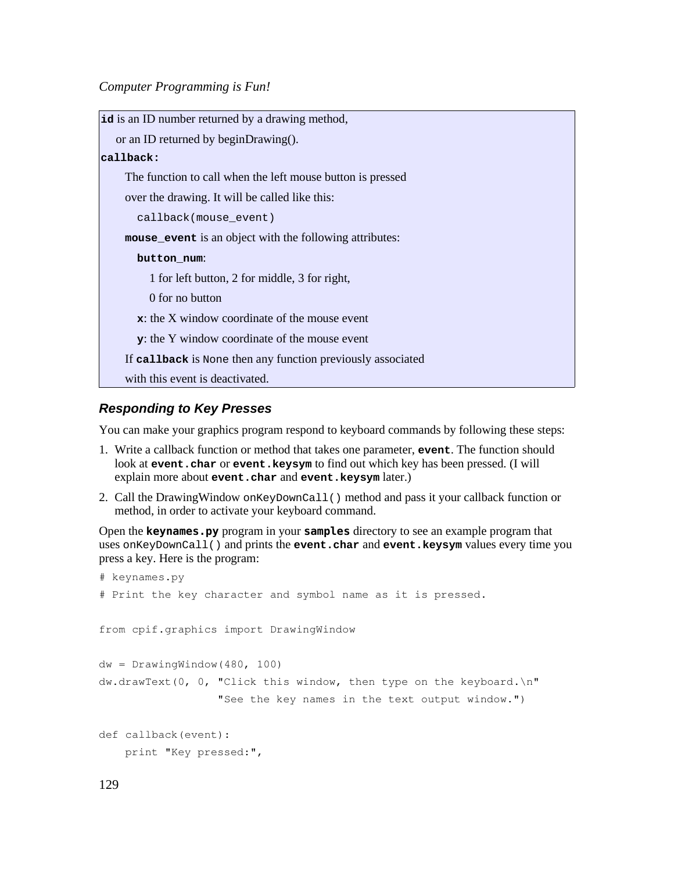| id is an ID number returned by a drawing method,            |
|-------------------------------------------------------------|
| or an ID returned by beginDrawing().                        |
| callback:                                                   |
| The function to call when the left mouse button is pressed  |
| over the drawing. It will be called like this:              |
| callback(mouse event)                                       |
| mouse_event is an object with the following attributes:     |
| button_num:                                                 |
| 1 for left button, 2 for middle, 3 for right,               |
| 0 for no button                                             |
| $\mathbf{x}$ : the X window coordinate of the mouse event   |
| <b>y</b> : the Y window coordinate of the mouse event       |
| If callback is None then any function previously associated |
| with this event is deactivated.                             |

## **Responding to Key Presses**

You can make your graphics program respond to keyboard commands by following these steps:

- 1. Write a callback function or method that takes one parameter, **event**. The function should look at **event.char** or **event.keysym** to find out which key has been pressed. (I will explain more about **event.char** and **event.keysym** later.)
- 2. Call the DrawingWindow onKeyDownCall() method and pass it your callback function or method, in order to activate your keyboard command.

Open the **keynames.py** program in your **samples** directory to see an example program that uses onKeyDownCall() and prints the **event.char** and **event.keysym** values every time you press a key. Here is the program:

```
# keynames.py
# Print the key character and symbol name as it is pressed.
from cpif.graphics import DrawingWindow
dw = DrawingWindow(480, 100)
dw.drawText(0, 0, Tclick this window, then type on the keyboard.\nT                 "See the key names in the text output window.")
def callback(event):
       print "Key pressed:",
```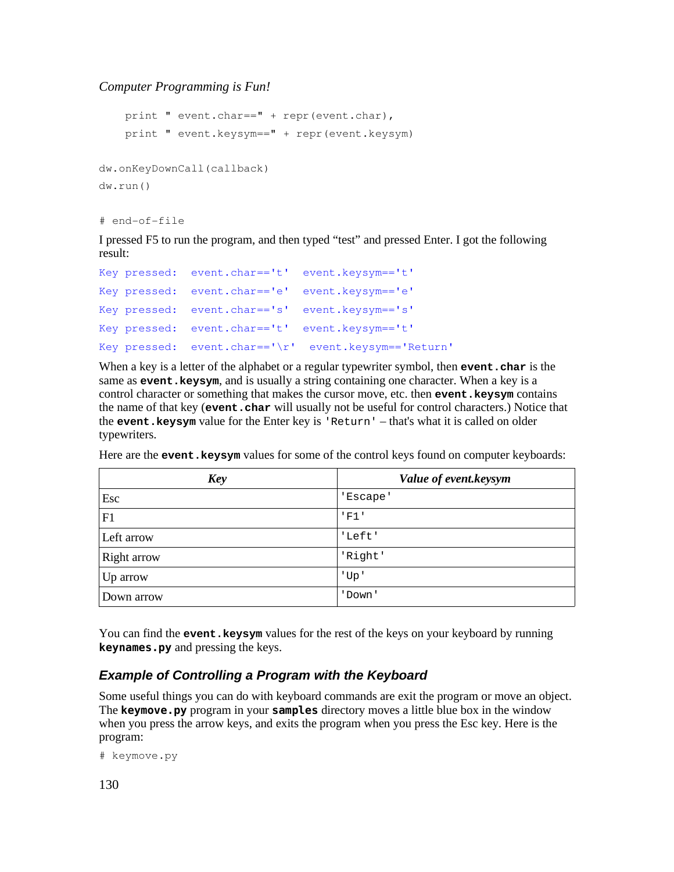```
print " event.char == " + repr(event.char),
       print " event.keysym==" + repr(event.keysym)
dw.onKeyDownCall(callback)
dw.run()
```
# end-of-file

I pressed F5 to run the program, and then typed "test" and pressed Enter. I got the following result:

```
Key pressed:  event.char=='t'  event.keysym=='t'
Key pressed:  event.char=='e'  event.keysym=='e'
Key pressed:  event.char=='s'  event.keysym=='s'
Key pressed:  event.char=='t'  event.keysym=='t'
Key pressed:  event.char=='\r'  event.keysym=='Return'
```
When a key is a letter of the alphabet or a regular typewriter symbol, then **event**. **char** is the same as **event.keysym**, and is usually a string containing one character. When a key is a control character or something that makes the cursor move, etc. then **event. keysym** contains the name of that key (**event.char** will usually not be useful for control characters.) Notice that the **event.keysym** value for the Enter key is 'Return' – that's what it is called on older typewriters.

Here are the **event.keysym** values for some of the control keys found on computer keyboards:

| <b>Key</b>  | Value of event.keysym |
|-------------|-----------------------|
| Esc         | 'Escape'              |
| F1          | 'FI'                  |
| Left arrow  | 'Left'                |
| Right arrow | 'Right'               |
| Up arrow    | 'Up'                  |
| Down arrow  | 'Down'                |

You can find the **event.keysym** values for the rest of the keys on your keyboard by running **keynames.py** and pressing the keys.

# **Example of Controlling a Program with the Keyboard**

Some useful things you can do with keyboard commands are exit the program or move an object. The **keymove.py** program in your **samples** directory moves a little blue box in the window when you press the arrow keys, and exits the program when you press the Esc key. Here is the program:

```
# keymove.py
```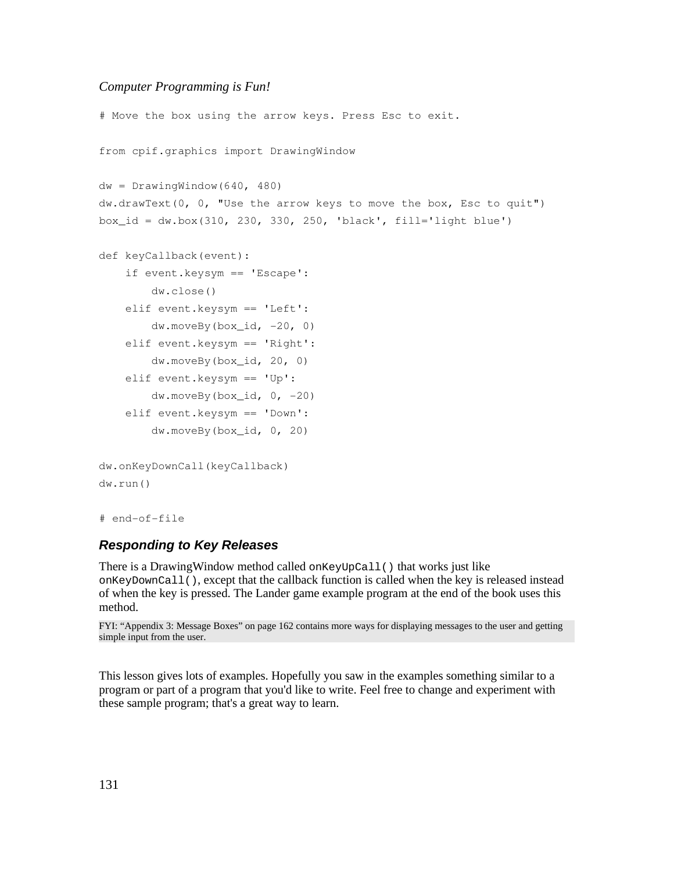```
# Move the box using the arrow keys. Press Esc to exit.
from cpif.graphics import DrawingWindow
dw = DrawingWindow(640, 480)dw.drawText(0, 0, "Use the arrow keys to move the box, Esc to quit")
box id = dw.box(310, 230, 330, 250, 'black', fill='light blue')
def keyCallback(event):
       if event.keysym == 'Escape':
               dw.close()
       elif event.keysym == 'Left':
        dw.moveBy(box_id, -20, 0)   elif event.keysym == 'Right':
               dw.moveBy(box_id, 20, 0)
       elif event.keysym == 'Up':
        dw.moveBy(box id, 0, -20)   elif event.keysym == 'Down':
               dw.moveBy(box_id, 0, 20)
dw.onKeyDownCall(keyCallback)
dw.run()
# end-of-file
```
# **Responding to Key Releases**

There is a Drawing Window method called on Key UpCall () that works just like onKeyDownCall(), except that the callback function is called when the key is released instead of when the key is pressed. The Lander game example program at the end of the book uses this method.

FYI: "Appendix 3: Message Boxes" on page 162 contains more ways for displaying messages to the user and getting simple input from the user.

This lesson gives lots of examples. Hopefully you saw in the examples something similar to a program or part of a program that you'd like to write. Feel free to change and experiment with these sample program; that's a great way to learn.